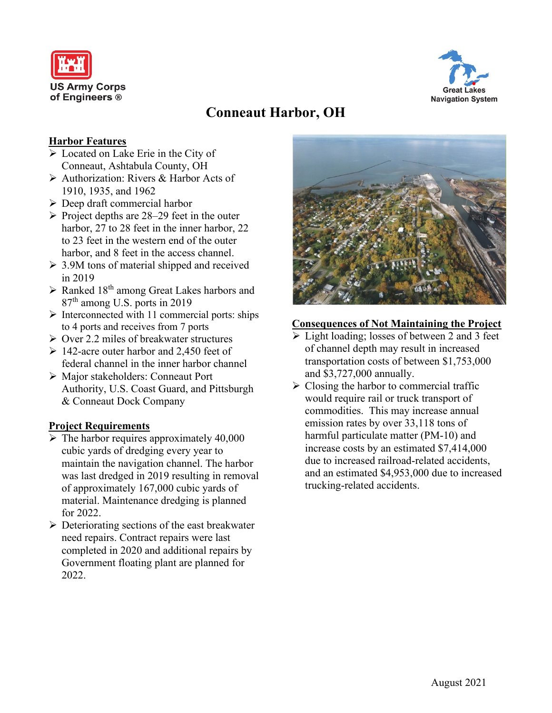



# **Conneaut Harbor, OH**

## **Harbor Features**

- Located on Lake Erie in the City of Conneaut, Ashtabula County, OH
- Authorization: Rivers & Harbor Acts of 1910, 1935, and 1962
- $\triangleright$  Deep draft commercial harbor
- $\triangleright$  Project depths are 28–29 feet in the outer harbor, 27 to 28 feet in the inner harbor, 22 to 23 feet in the western end of the outer harbor, and 8 feet in the access channel.
- $\geq$  3.9M tons of material shipped and received in 2019
- $\triangleright$  Ranked 18<sup>th</sup> among Great Lakes harbors and 87th among U.S. ports in 2019
- $\triangleright$  Interconnected with 11 commercial ports: ships to 4 ports and receives from 7 ports
- $\geq$  Over 2.2 miles of breakwater structures
- $\geq 142$ -acre outer harbor and 2,450 feet of federal channel in the inner harbor channel
- Major stakeholders: Conneaut Port Authority, U.S. Coast Guard, and Pittsburgh & Conneaut Dock Company

## **Project Requirements**

- $\triangleright$  The harbor requires approximately 40,000 cubic yards of dredging every year to maintain the navigation channel. The harbor was last dredged in 2019 resulting in removal of approximately 167,000 cubic yards of material. Maintenance dredging is planned for 2022.
- $\triangleright$  Deteriorating sections of the east breakwater need repairs. Contract repairs were last completed in 2020 and additional repairs by Government floating plant are planned for 2022.



# **Consequences of Not Maintaining the Project**

- $\triangleright$  Light loading; losses of between 2 and 3 feet of channel depth may result in increased transportation costs of between \$1,753,000 and \$3,727,000 annually.
- $\triangleright$  Closing the harbor to commercial traffic would require rail or truck transport of commodities. This may increase annual emission rates by over 33,118 tons of harmful particulate matter (PM-10) and increase costs by an estimated \$7,414,000 due to increased railroad-related accidents, and an estimated \$4,953,000 due to increased trucking-related accidents.